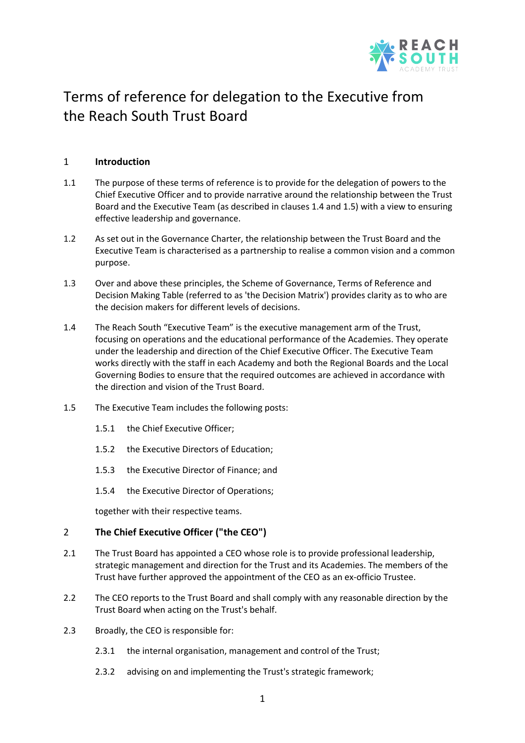

# Terms of reference for delegation to the Executive from the Reach South Trust Board

# 1 **Introduction**

- 1.1 The purpose of these terms of reference is to provide for the delegation of powers to the Chief Executive Officer and to provide narrative around the relationship between the Trust Board and the Executive Team (as described in clause[s 1.4](#page-0-0) and [1.5\)](#page-0-1) with a view to ensuring effective leadership and governance.
- 1.2 As set out in the Governance Charter, the relationship between the Trust Board and the Executive Team is characterised as a partnership to realise a common vision and a common purpose.
- 1.3 Over and above these principles, the Scheme of Governance, Terms of Reference and Decision Making Table (referred to as 'the Decision Matrix') provides clarity as to who are the decision makers for different levels of decisions.
- <span id="page-0-0"></span>1.4 The Reach South "Executive Team" is the executive management arm of the Trust, focusing on operations and the educational performance of the Academies. They operate under the leadership and direction of the Chief Executive Officer. The Executive Team works directly with the staff in each Academy and both the Regional Boards and the Local Governing Bodies to ensure that the required outcomes are achieved in accordance with the direction and vision of the Trust Board.
- <span id="page-0-1"></span>1.5 The Executive Team includes the following posts:
	- 1.5.1 the Chief Executive Officer;
	- 1.5.2 the Executive Directors of Education;
	- 1.5.3 the Executive Director of Finance; and
	- 1.5.4 the Executive Director of Operations;

together with their respective teams.

## 2 **The Chief Executive Officer ("the CEO")**

- 2.1 The Trust Board has appointed a CEO whose role is to provide professional leadership, strategic management and direction for the Trust and its Academies. The members of the Trust have further approved the appointment of the CEO as an ex-officio Trustee.
- 2.2 The CEO reports to the Trust Board and shall comply with any reasonable direction by the Trust Board when acting on the Trust's behalf.
- 2.3 Broadly, the CEO is responsible for:
	- 2.3.1 the internal organisation, management and control of the Trust;
	- 2.3.2 advising on and implementing the Trust's strategic framework;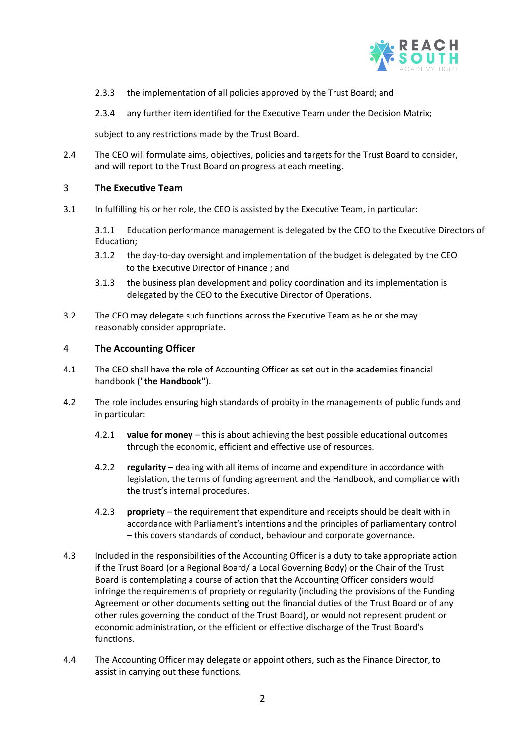

- 2.3.3 the implementation of all policies approved by the Trust Board; and
- 2.3.4 any further item identified for the Executive Team under the Decision Matrix;

subject to any restrictions made by the Trust Board.

2.4 The CEO will formulate aims, objectives, policies and targets for the Trust Board to consider, and will report to the Trust Board on progress at each meeting.

# 3 **The Executive Team**

3.1 In fulfilling his or her role, the CEO is assisted by the Executive Team, in particular:

3.1.1 Education performance management is delegated by the CEO to the Executive Directors of Education;

- 3.1.2 the day-to-day oversight and implementation of the budget is delegated by the CEO to the Executive Director of Finance ; and
- 3.1.3 the business plan development and policy coordination and its implementation is delegated by the CEO to the Executive Director of Operations.
- 3.2 The CEO may delegate such functions across the Executive Team as he or she may reasonably consider appropriate.

# 4 **The Accounting Officer**

- 4.1 The CEO shall have the role of Accounting Officer as set out in the academies financial handbook (**"the Handbook"**).
- 4.2 The role includes ensuring high standards of probity in the managements of public funds and in particular:
	- 4.2.1 **value for money** this is about achieving the best possible educational outcomes through the economic, efficient and effective use of resources.
	- 4.2.2 **regularity**  dealing with all items of income and expenditure in accordance with legislation, the terms of funding agreement and the Handbook, and compliance with the trust's internal procedures.
	- 4.2.3 **propriety** the requirement that expenditure and receipts should be dealt with in accordance with Parliament's intentions and the principles of parliamentary control – this covers standards of conduct, behaviour and corporate governance.
- 4.3 Included in the responsibilities of the Accounting Officer is a duty to take appropriate action if the Trust Board (or a Regional Board/ a Local Governing Body) or the Chair of the Trust Board is contemplating a course of action that the Accounting Officer considers would infringe the requirements of propriety or regularity (including the provisions of the Funding Agreement or other documents setting out the financial duties of the Trust Board or of any other rules governing the conduct of the Trust Board), or would not represent prudent or economic administration, or the efficient or effective discharge of the Trust Board's functions.
- 4.4 The Accounting Officer may delegate or appoint others, such as the Finance Director, to assist in carrying out these functions.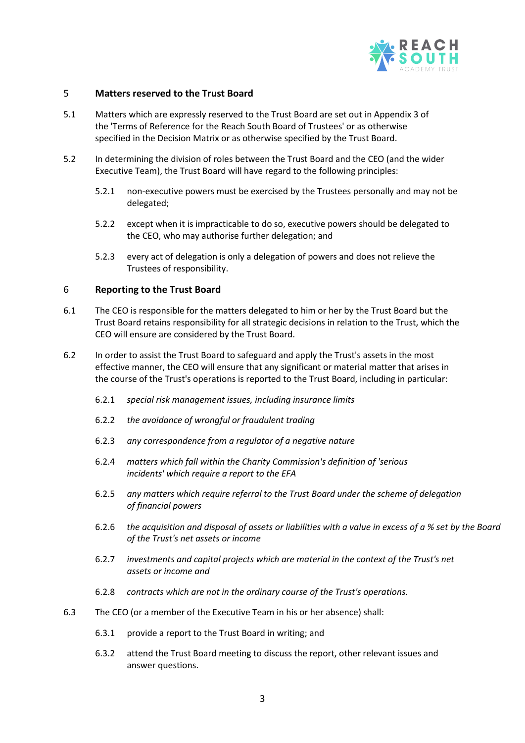

## 5 **Matters reserved to the Trust Board**

- 5.1 Matters which are expressly reserved to the Trust Board are set out in Appendix 3 of the 'Terms of Reference for the Reach South Board of Trustees' or as otherwise specified in the Decision Matrix or as otherwise specified by the Trust Board.
- 5.2 In determining the division of roles between the Trust Board and the CEO (and the wider Executive Team), the Trust Board will have regard to the following principles:
	- 5.2.1 non-executive powers must be exercised by the Trustees personally and may not be delegated;
	- 5.2.2 except when it is impracticable to do so, executive powers should be delegated to the CEO, who may authorise further delegation; and
	- 5.2.3 every act of delegation is only a delegation of powers and does not relieve the Trustees of responsibility.

## 6 **Reporting to the Trust Board**

- 6.1 The CEO is responsible for the matters delegated to him or her by the Trust Board but the Trust Board retains responsibility for all strategic decisions in relation to the Trust, which the CEO will ensure are considered by the Trust Board.
- 6.2 In order to assist the Trust Board to safeguard and apply the Trust's assets in the most effective manner, the CEO will ensure that any significant or material matter that arises in the course of the Trust's operations is reported to the Trust Board, including in particular:
	- 6.2.1 *special risk management issues, including insurance limits*
	- 6.2.2 *the avoidance of wrongful or fraudulent trading*
	- 6.2.3 *any correspondence from a regulator of a negative nature*
	- 6.2.4 *matters which fall within the Charity Commission's definition of 'serious incidents' which require a report to the EFA*
	- 6.2.5 *any matters which require referral to the Trust Board under the scheme of delegation of financial powers*
	- 6.2.6 *the acquisition and disposal of assets or liabilities with a value in excess of a % set by the Board of the Trust's net assets or income*
	- 6.2.7 *investments and capital projects which are material in the context of the Trust's net assets or income and*
	- 6.2.8 *contracts which are not in the ordinary course of the Trust's operations.*
- 6.3 The CEO (or a member of the Executive Team in his or her absence) shall:
	- 6.3.1 provide a report to the Trust Board in writing; and
	- 6.3.2 attend the Trust Board meeting to discuss the report, other relevant issues and answer questions.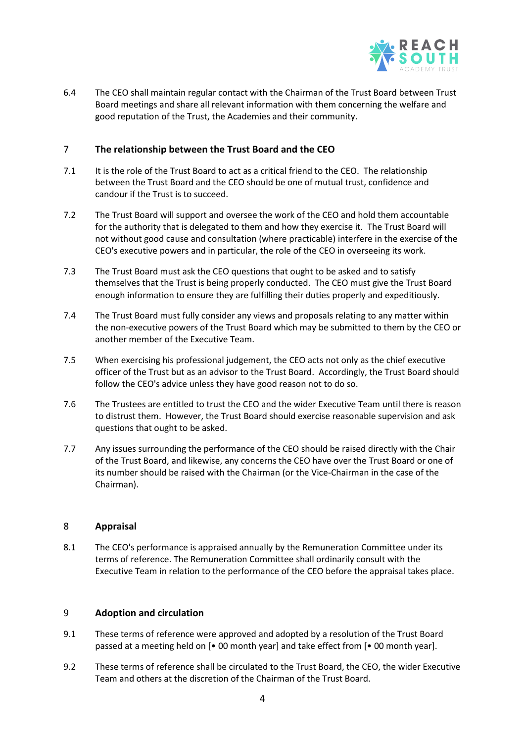

6.4 The CEO shall maintain regular contact with the Chairman of the Trust Board between Trust Board meetings and share all relevant information with them concerning the welfare and good reputation of the Trust, the Academies and their community.

# 7 **The relationship between the Trust Board and the CEO**

- 7.1 It is the role of the Trust Board to act as a critical friend to the CEO. The relationship between the Trust Board and the CEO should be one of mutual trust, confidence and candour if the Trust is to succeed.
- 7.2 The Trust Board will support and oversee the work of the CEO and hold them accountable for the authority that is delegated to them and how they exercise it. The Trust Board will not without good cause and consultation (where practicable) interfere in the exercise of the CEO's executive powers and in particular, the role of the CEO in overseeing its work.
- 7.3 The Trust Board must ask the CEO questions that ought to be asked and to satisfy themselves that the Trust is being properly conducted. The CEO must give the Trust Board enough information to ensure they are fulfilling their duties properly and expeditiously.
- 7.4 The Trust Board must fully consider any views and proposals relating to any matter within the non-executive powers of the Trust Board which may be submitted to them by the CEO or another member of the Executive Team.
- 7.5 When exercising his professional judgement, the CEO acts not only as the chief executive officer of the Trust but as an advisor to the Trust Board. Accordingly, the Trust Board should follow the CEO's advice unless they have good reason not to do so.
- 7.6 The Trustees are entitled to trust the CEO and the wider Executive Team until there is reason to distrust them. However, the Trust Board should exercise reasonable supervision and ask questions that ought to be asked.
- 7.7 Any issues surrounding the performance of the CEO should be raised directly with the Chair of the Trust Board, and likewise, any concerns the CEO have over the Trust Board or one of its number should be raised with the Chairman (or the Vice-Chairman in the case of the Chairman).

## 8 **Appraisal**

8.1 The CEO's performance is appraised annually by the Remuneration Committee under its terms of reference. The Remuneration Committee shall ordinarily consult with the Executive Team in relation to the performance of the CEO before the appraisal takes place.

## 9 **Adoption and circulation**

- 9.1 These terms of reference were approved and adopted by a resolution of the Trust Board passed at a meeting held on [• 00 month year] and take effect from [• 00 month year].
- 9.2 These terms of reference shall be circulated to the Trust Board, the CEO, the wider Executive Team and others at the discretion of the Chairman of the Trust Board.